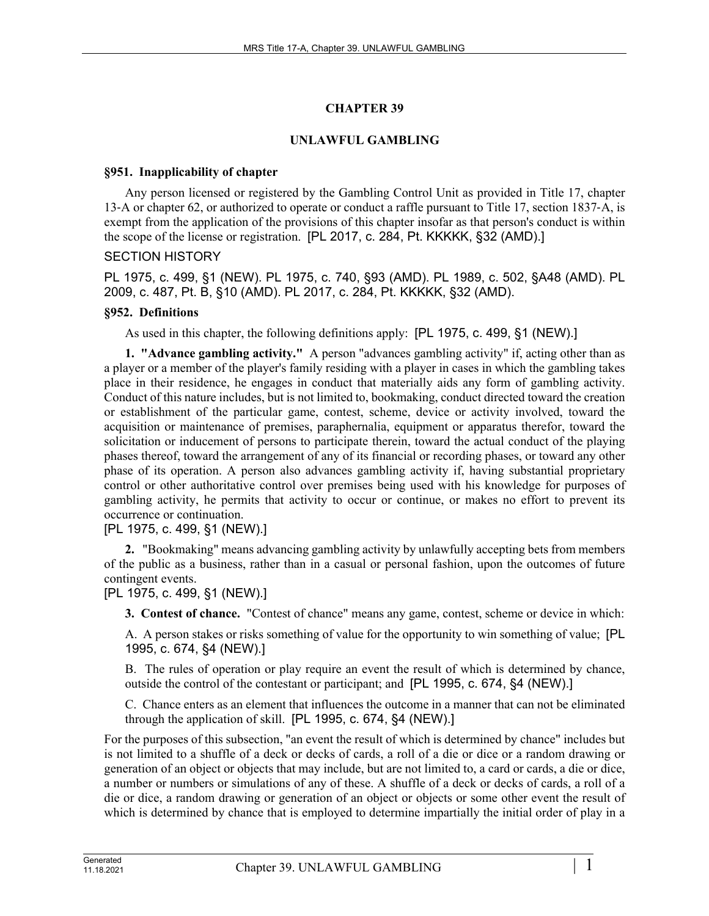# **CHAPTER 39**

# **UNLAWFUL GAMBLING**

## **§951. Inapplicability of chapter**

Any person licensed or registered by the Gambling Control Unit as provided in Title 17, chapter 13‑A or chapter 62, or authorized to operate or conduct a raffle pursuant to Title 17, section 1837‑A, is exempt from the application of the provisions of this chapter insofar as that person's conduct is within the scope of the license or registration. [PL 2017, c. 284, Pt. KKKKK, §32 (AMD).]

# SECTION HISTORY

PL 1975, c. 499, §1 (NEW). PL 1975, c. 740, §93 (AMD). PL 1989, c. 502, §A48 (AMD). PL 2009, c. 487, Pt. B, §10 (AMD). PL 2017, c. 284, Pt. KKKKK, §32 (AMD).

### **§952. Definitions**

As used in this chapter, the following definitions apply: [PL 1975, c. 499, §1 (NEW).]

**1. "Advance gambling activity."** A person "advances gambling activity" if, acting other than as a player or a member of the player's family residing with a player in cases in which the gambling takes place in their residence, he engages in conduct that materially aids any form of gambling activity. Conduct of this nature includes, but is not limited to, bookmaking, conduct directed toward the creation or establishment of the particular game, contest, scheme, device or activity involved, toward the acquisition or maintenance of premises, paraphernalia, equipment or apparatus therefor, toward the solicitation or inducement of persons to participate therein, toward the actual conduct of the playing phases thereof, toward the arrangement of any of its financial or recording phases, or toward any other phase of its operation. A person also advances gambling activity if, having substantial proprietary control or other authoritative control over premises being used with his knowledge for purposes of gambling activity, he permits that activity to occur or continue, or makes no effort to prevent its occurrence or continuation.

# [PL 1975, c. 499, §1 (NEW).]

**2.** "Bookmaking" means advancing gambling activity by unlawfully accepting bets from members of the public as a business, rather than in a casual or personal fashion, upon the outcomes of future contingent events.

[PL 1975, c. 499, §1 (NEW).]

**3. Contest of chance.** "Contest of chance" means any game, contest, scheme or device in which:

A. A person stakes or risks something of value for the opportunity to win something of value; [PL 1995, c. 674, §4 (NEW).]

B. The rules of operation or play require an event the result of which is determined by chance, outside the control of the contestant or participant; and [PL 1995, c. 674, §4 (NEW).]

C. Chance enters as an element that influences the outcome in a manner that can not be eliminated through the application of skill. [PL 1995, c. 674, §4 (NEW).]

For the purposes of this subsection, "an event the result of which is determined by chance" includes but is not limited to a shuffle of a deck or decks of cards, a roll of a die or dice or a random drawing or generation of an object or objects that may include, but are not limited to, a card or cards, a die or dice, a number or numbers or simulations of any of these. A shuffle of a deck or decks of cards, a roll of a die or dice, a random drawing or generation of an object or objects or some other event the result of which is determined by chance that is employed to determine impartially the initial order of play in a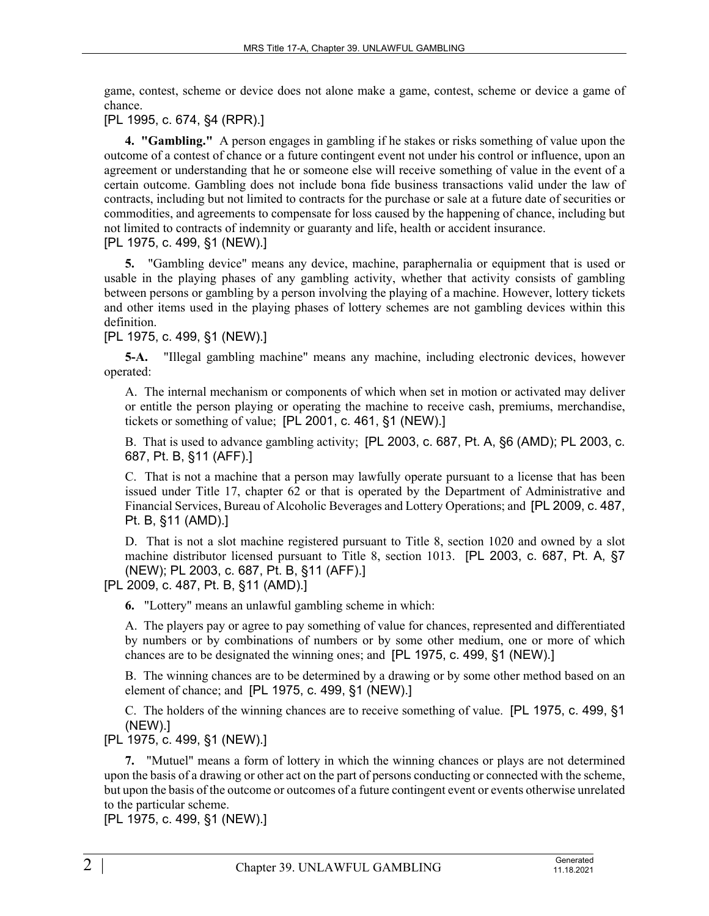game, contest, scheme or device does not alone make a game, contest, scheme or device a game of chance.

## [PL 1995, c. 674, §4 (RPR).]

**4. "Gambling."** A person engages in gambling if he stakes or risks something of value upon the outcome of a contest of chance or a future contingent event not under his control or influence, upon an agreement or understanding that he or someone else will receive something of value in the event of a certain outcome. Gambling does not include bona fide business transactions valid under the law of contracts, including but not limited to contracts for the purchase or sale at a future date of securities or commodities, and agreements to compensate for loss caused by the happening of chance, including but not limited to contracts of indemnity or guaranty and life, health or accident insurance. [PL 1975, c. 499, §1 (NEW).]

**5.** "Gambling device" means any device, machine, paraphernalia or equipment that is used or usable in the playing phases of any gambling activity, whether that activity consists of gambling between persons or gambling by a person involving the playing of a machine. However, lottery tickets and other items used in the playing phases of lottery schemes are not gambling devices within this definition.

### [PL 1975, c. 499, §1 (NEW).]

**5-A.** "Illegal gambling machine" means any machine, including electronic devices, however operated:

A. The internal mechanism or components of which when set in motion or activated may deliver or entitle the person playing or operating the machine to receive cash, premiums, merchandise, tickets or something of value; [PL 2001, c. 461, §1 (NEW).]

B. That is used to advance gambling activity; [PL 2003, c. 687, Pt. A, §6 (AMD); PL 2003, c. 687, Pt. B, §11 (AFF).]

C. That is not a machine that a person may lawfully operate pursuant to a license that has been issued under Title 17, chapter 62 or that is operated by the Department of Administrative and Financial Services, Bureau of Alcoholic Beverages and Lottery Operations; and [PL 2009, c. 487, Pt. B, §11 (AMD).]

D. That is not a slot machine registered pursuant to Title 8, section 1020 and owned by a slot machine distributor licensed pursuant to Title 8, section 1013. [PL 2003, c. 687, Pt. A, §7 (NEW); PL 2003, c. 687, Pt. B, §11 (AFF).]

[PL 2009, c. 487, Pt. B, §11 (AMD).]

**6.** "Lottery" means an unlawful gambling scheme in which:

A. The players pay or agree to pay something of value for chances, represented and differentiated by numbers or by combinations of numbers or by some other medium, one or more of which chances are to be designated the winning ones; and [PL 1975, c. 499, §1 (NEW).]

B. The winning chances are to be determined by a drawing or by some other method based on an element of chance; and [PL 1975, c. 499, §1 (NEW).]

C. The holders of the winning chances are to receive something of value. [PL 1975, c. 499, §1 (NEW).]

[PL 1975, c. 499, §1 (NEW).]

**7.** "Mutuel" means a form of lottery in which the winning chances or plays are not determined upon the basis of a drawing or other act on the part of persons conducting or connected with the scheme, but upon the basis of the outcome or outcomes of a future contingent event or events otherwise unrelated to the particular scheme.

[PL 1975, c. 499, §1 (NEW).]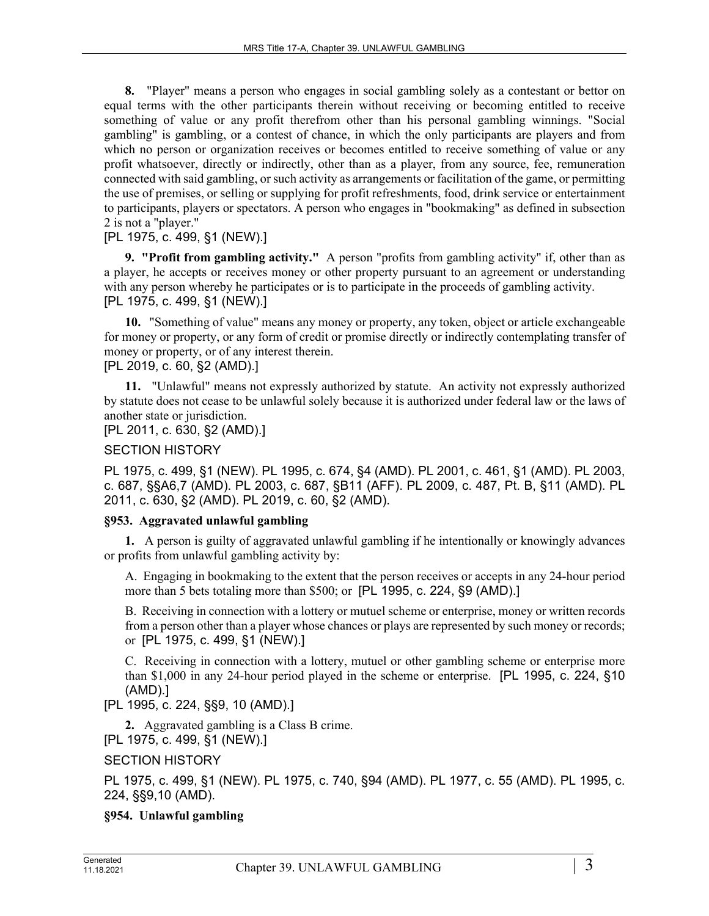**8.** "Player" means a person who engages in social gambling solely as a contestant or bettor on equal terms with the other participants therein without receiving or becoming entitled to receive something of value or any profit therefrom other than his personal gambling winnings. "Social gambling" is gambling, or a contest of chance, in which the only participants are players and from which no person or organization receives or becomes entitled to receive something of value or any profit whatsoever, directly or indirectly, other than as a player, from any source, fee, remuneration connected with said gambling, or such activity as arrangements or facilitation of the game, or permitting the use of premises, or selling or supplying for profit refreshments, food, drink service or entertainment to participants, players or spectators. A person who engages in "bookmaking" as defined in subsection 2 is not a "player."

### [PL 1975, c. 499, §1 (NEW).]

**9. "Profit from gambling activity."** A person "profits from gambling activity" if, other than as a player, he accepts or receives money or other property pursuant to an agreement or understanding with any person whereby he participates or is to participate in the proceeds of gambling activity. [PL 1975, c. 499, §1 (NEW).]

**10.** "Something of value" means any money or property, any token, object or article exchangeable for money or property, or any form of credit or promise directly or indirectly contemplating transfer of money or property, or of any interest therein.

[PL 2019, c. 60, §2 (AMD).]

**11.** "Unlawful" means not expressly authorized by statute. An activity not expressly authorized by statute does not cease to be unlawful solely because it is authorized under federal law or the laws of another state or jurisdiction.

[PL 2011, c. 630, §2 (AMD).]

#### SECTION HISTORY

PL 1975, c. 499, §1 (NEW). PL 1995, c. 674, §4 (AMD). PL 2001, c. 461, §1 (AMD). PL 2003, c. 687, §§A6,7 (AMD). PL 2003, c. 687, §B11 (AFF). PL 2009, c. 487, Pt. B, §11 (AMD). PL 2011, c. 630, §2 (AMD). PL 2019, c. 60, §2 (AMD).

#### **§953. Aggravated unlawful gambling**

**1.** A person is guilty of aggravated unlawful gambling if he intentionally or knowingly advances or profits from unlawful gambling activity by:

A. Engaging in bookmaking to the extent that the person receives or accepts in any 24-hour period more than 5 bets totaling more than \$500; or [PL 1995, c. 224, §9 (AMD).]

B. Receiving in connection with a lottery or mutuel scheme or enterprise, money or written records from a person other than a player whose chances or plays are represented by such money or records; or [PL 1975, c. 499, §1 (NEW).]

C. Receiving in connection with a lottery, mutuel or other gambling scheme or enterprise more than \$1,000 in any 24-hour period played in the scheme or enterprise. [PL 1995, c. 224, §10 (AMD).]

[PL 1995, c. 224, §§9, 10 (AMD).]

**2.** Aggravated gambling is a Class B crime.

[PL 1975, c. 499, §1 (NEW).]

SECTION HISTORY

PL 1975, c. 499, §1 (NEW). PL 1975, c. 740, §94 (AMD). PL 1977, c. 55 (AMD). PL 1995, c. 224, §§9,10 (AMD).

#### **§954. Unlawful gambling**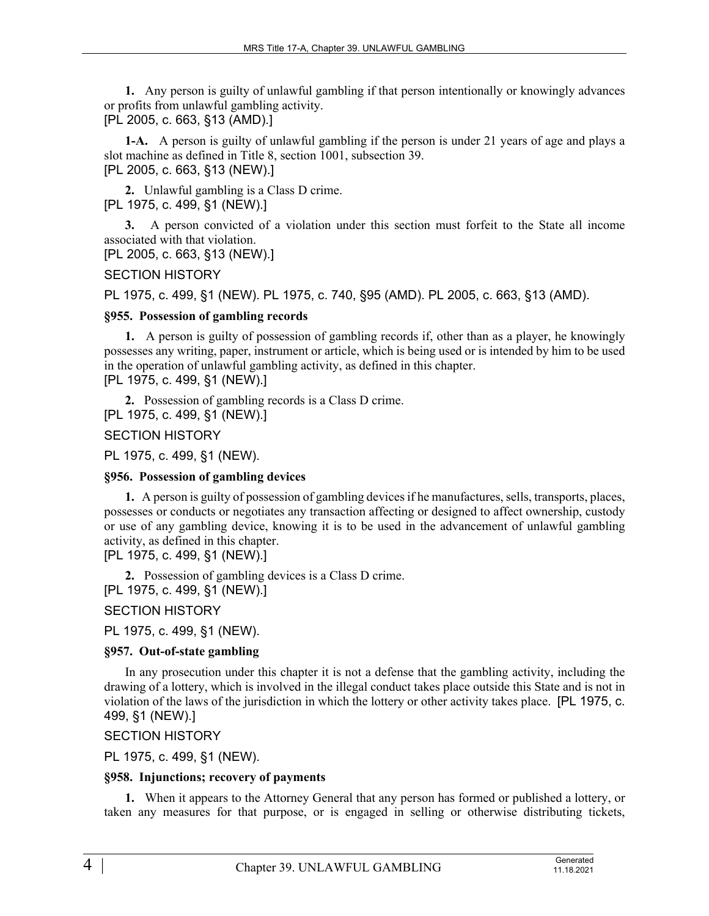**1.** Any person is guilty of unlawful gambling if that person intentionally or knowingly advances or profits from unlawful gambling activity. [PL 2005, c. 663, §13 (AMD).]

**1-A.** A person is guilty of unlawful gambling if the person is under 21 years of age and plays a slot machine as defined in Title 8, section 1001, subsection 39.

[PL 2005, c. 663, §13 (NEW).]

**2.** Unlawful gambling is a Class D crime. [PL 1975, c. 499, §1 (NEW).]

**3.** A person convicted of a violation under this section must forfeit to the State all income associated with that violation.

[PL 2005, c. 663, §13 (NEW).]

#### SECTION HISTORY

PL 1975, c. 499, §1 (NEW). PL 1975, c. 740, §95 (AMD). PL 2005, c. 663, §13 (AMD).

#### **§955. Possession of gambling records**

**1.** A person is guilty of possession of gambling records if, other than as a player, he knowingly possesses any writing, paper, instrument or article, which is being used or is intended by him to be used in the operation of unlawful gambling activity, as defined in this chapter.

[PL 1975, c. 499, §1 (NEW).]

**2.** Possession of gambling records is a Class D crime.

[PL 1975, c. 499, §1 (NEW).]

SECTION HISTORY

PL 1975, c. 499, §1 (NEW).

#### **§956. Possession of gambling devices**

**1.** A person is guilty of possession of gambling devices if he manufactures, sells, transports, places, possesses or conducts or negotiates any transaction affecting or designed to affect ownership, custody or use of any gambling device, knowing it is to be used in the advancement of unlawful gambling activity, as defined in this chapter.

[PL 1975, c. 499, §1 (NEW).]

**2.** Possession of gambling devices is a Class D crime. [PL 1975, c. 499, §1 (NEW).]

SECTION HISTORY

PL 1975, c. 499, §1 (NEW).

### **§957. Out-of-state gambling**

In any prosecution under this chapter it is not a defense that the gambling activity, including the drawing of a lottery, which is involved in the illegal conduct takes place outside this State and is not in violation of the laws of the jurisdiction in which the lottery or other activity takes place. [PL 1975, c. 499, §1 (NEW).]

#### SECTION HISTORY

PL 1975, c. 499, §1 (NEW).

#### **§958. Injunctions; recovery of payments**

**1.** When it appears to the Attorney General that any person has formed or published a lottery, or taken any measures for that purpose, or is engaged in selling or otherwise distributing tickets,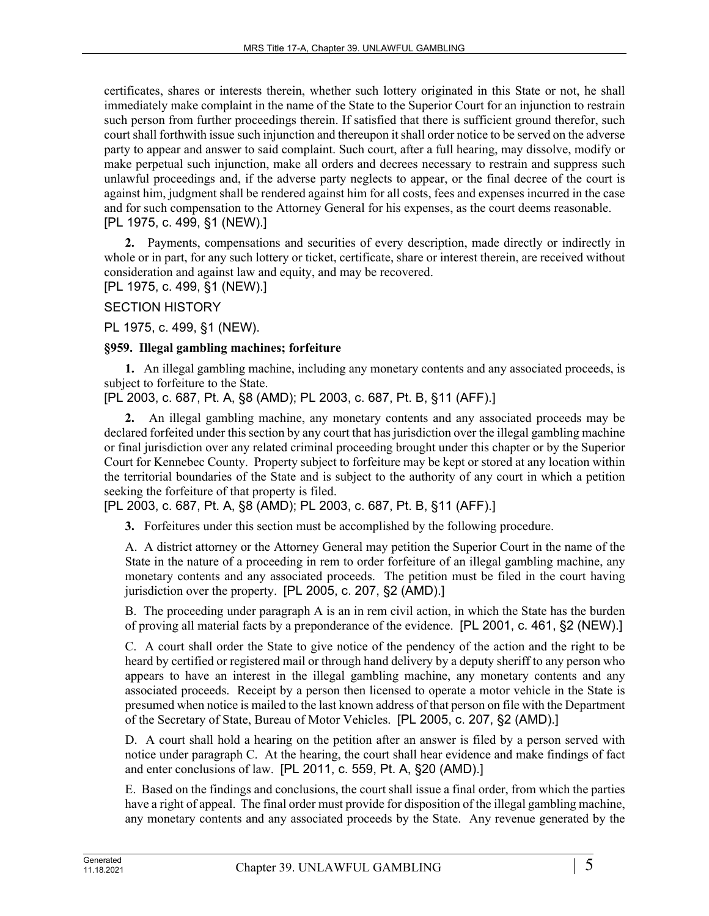certificates, shares or interests therein, whether such lottery originated in this State or not, he shall immediately make complaint in the name of the State to the Superior Court for an injunction to restrain such person from further proceedings therein. If satisfied that there is sufficient ground therefor, such court shall forthwith issue such injunction and thereupon it shall order notice to be served on the adverse party to appear and answer to said complaint. Such court, after a full hearing, may dissolve, modify or make perpetual such injunction, make all orders and decrees necessary to restrain and suppress such unlawful proceedings and, if the adverse party neglects to appear, or the final decree of the court is against him, judgment shall be rendered against him for all costs, fees and expenses incurred in the case and for such compensation to the Attorney General for his expenses, as the court deems reasonable. [PL 1975, c. 499, §1 (NEW).]

**2.** Payments, compensations and securities of every description, made directly or indirectly in whole or in part, for any such lottery or ticket, certificate, share or interest therein, are received without consideration and against law and equity, and may be recovered.

[PL 1975, c. 499, §1 (NEW).]

## SECTION HISTORY

PL 1975, c. 499, §1 (NEW).

### **§959. Illegal gambling machines; forfeiture**

**1.** An illegal gambling machine, including any monetary contents and any associated proceeds, is subject to forfeiture to the State.

[PL 2003, c. 687, Pt. A, §8 (AMD); PL 2003, c. 687, Pt. B, §11 (AFF).]

**2.** An illegal gambling machine, any monetary contents and any associated proceeds may be declared forfeited under this section by any court that has jurisdiction over the illegal gambling machine or final jurisdiction over any related criminal proceeding brought under this chapter or by the Superior Court for Kennebec County. Property subject to forfeiture may be kept or stored at any location within the territorial boundaries of the State and is subject to the authority of any court in which a petition seeking the forfeiture of that property is filed.

[PL 2003, c. 687, Pt. A, §8 (AMD); PL 2003, c. 687, Pt. B, §11 (AFF).]

**3.** Forfeitures under this section must be accomplished by the following procedure.

A. A district attorney or the Attorney General may petition the Superior Court in the name of the State in the nature of a proceeding in rem to order forfeiture of an illegal gambling machine, any monetary contents and any associated proceeds. The petition must be filed in the court having iurisdiction over the property. [PL 2005, c. 207, §2 (AMD).]

B. The proceeding under paragraph A is an in rem civil action, in which the State has the burden of proving all material facts by a preponderance of the evidence. [PL 2001, c. 461, §2 (NEW).]

C. A court shall order the State to give notice of the pendency of the action and the right to be heard by certified or registered mail or through hand delivery by a deputy sheriff to any person who appears to have an interest in the illegal gambling machine, any monetary contents and any associated proceeds. Receipt by a person then licensed to operate a motor vehicle in the State is presumed when notice is mailed to the last known address of that person on file with the Department of the Secretary of State, Bureau of Motor Vehicles. [PL 2005, c. 207, §2 (AMD).]

D. A court shall hold a hearing on the petition after an answer is filed by a person served with notice under paragraph C. At the hearing, the court shall hear evidence and make findings of fact and enter conclusions of law. [PL 2011, c. 559, Pt. A, §20 (AMD).]

E. Based on the findings and conclusions, the court shall issue a final order, from which the parties have a right of appeal. The final order must provide for disposition of the illegal gambling machine, any monetary contents and any associated proceeds by the State. Any revenue generated by the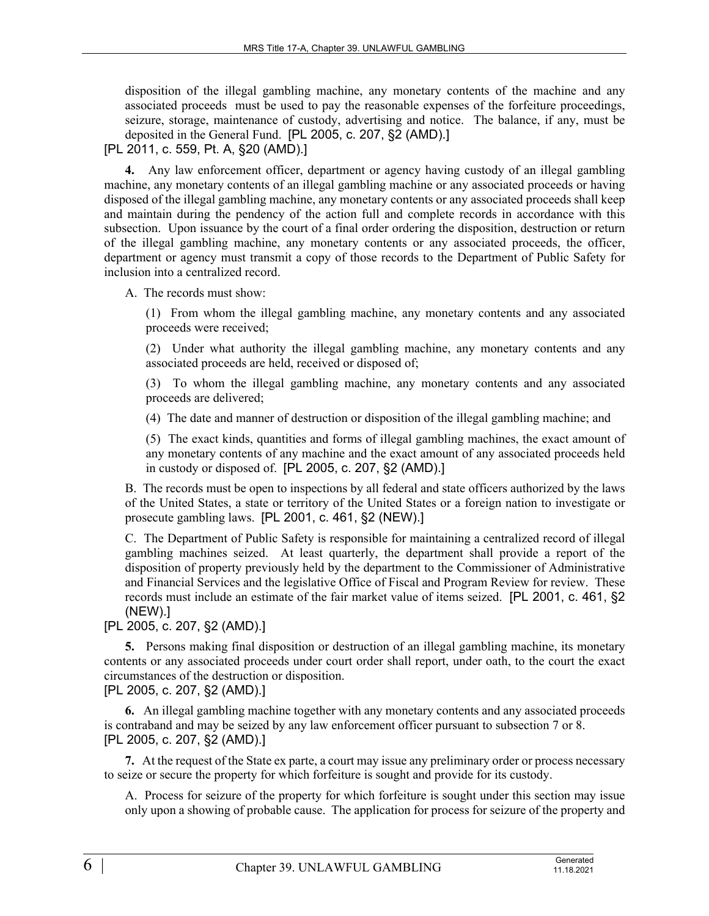disposition of the illegal gambling machine, any monetary contents of the machine and any associated proceeds must be used to pay the reasonable expenses of the forfeiture proceedings, seizure, storage, maintenance of custody, advertising and notice. The balance, if any, must be deposited in the General Fund. [PL 2005, c. 207, §2 (AMD).]

# [PL 2011, c. 559, Pt. A, §20 (AMD).]

**4.** Any law enforcement officer, department or agency having custody of an illegal gambling machine, any monetary contents of an illegal gambling machine or any associated proceeds or having disposed of the illegal gambling machine, any monetary contents or any associated proceeds shall keep and maintain during the pendency of the action full and complete records in accordance with this subsection. Upon issuance by the court of a final order ordering the disposition, destruction or return of the illegal gambling machine, any monetary contents or any associated proceeds, the officer, department or agency must transmit a copy of those records to the Department of Public Safety for inclusion into a centralized record.

A. The records must show:

(1) From whom the illegal gambling machine, any monetary contents and any associated proceeds were received;

(2) Under what authority the illegal gambling machine, any monetary contents and any associated proceeds are held, received or disposed of;

(3) To whom the illegal gambling machine, any monetary contents and any associated proceeds are delivered;

(4) The date and manner of destruction or disposition of the illegal gambling machine; and

(5) The exact kinds, quantities and forms of illegal gambling machines, the exact amount of any monetary contents of any machine and the exact amount of any associated proceeds held in custody or disposed of. [PL 2005, c. 207, §2 (AMD).]

B. The records must be open to inspections by all federal and state officers authorized by the laws of the United States, a state or territory of the United States or a foreign nation to investigate or prosecute gambling laws. [PL 2001, c. 461, §2 (NEW).]

C. The Department of Public Safety is responsible for maintaining a centralized record of illegal gambling machines seized. At least quarterly, the department shall provide a report of the disposition of property previously held by the department to the Commissioner of Administrative and Financial Services and the legislative Office of Fiscal and Program Review for review. These records must include an estimate of the fair market value of items seized. [PL 2001, c. 461, §2 (NEW).]

[PL 2005, c. 207, §2 (AMD).]

**5.** Persons making final disposition or destruction of an illegal gambling machine, its monetary contents or any associated proceeds under court order shall report, under oath, to the court the exact circumstances of the destruction or disposition.

[PL 2005, c. 207, §2 (AMD).]

**6.** An illegal gambling machine together with any monetary contents and any associated proceeds is contraband and may be seized by any law enforcement officer pursuant to subsection 7 or 8. [PL 2005, c. 207, §2 (AMD).]

**7.** At the request of the State ex parte, a court may issue any preliminary order or process necessary to seize or secure the property for which forfeiture is sought and provide for its custody.

A. Process for seizure of the property for which forfeiture is sought under this section may issue only upon a showing of probable cause. The application for process for seizure of the property and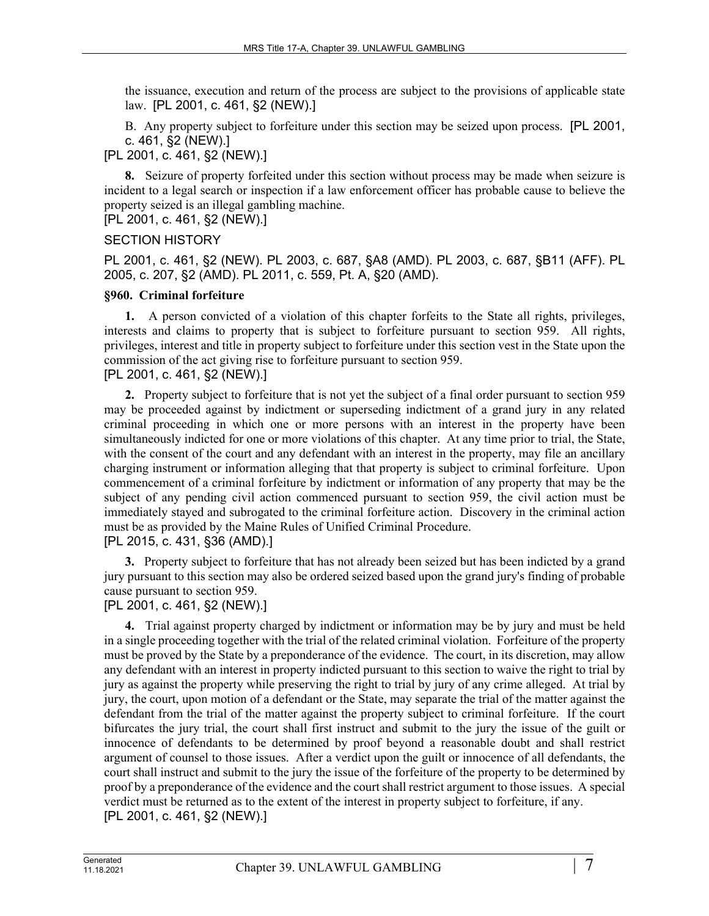the issuance, execution and return of the process are subject to the provisions of applicable state law. [PL 2001, c. 461, §2 (NEW).]

B. Any property subject to forfeiture under this section may be seized upon process. [PL 2001, c. 461, §2 (NEW).]

[PL 2001, c. 461, §2 (NEW).]

**8.** Seizure of property forfeited under this section without process may be made when seizure is incident to a legal search or inspection if a law enforcement officer has probable cause to believe the property seized is an illegal gambling machine.

[PL 2001, c. 461, §2 (NEW).]

#### SECTION HISTORY

PL 2001, c. 461, §2 (NEW). PL 2003, c. 687, §A8 (AMD). PL 2003, c. 687, §B11 (AFF). PL 2005, c. 207, §2 (AMD). PL 2011, c. 559, Pt. A, §20 (AMD).

### **§960. Criminal forfeiture**

**1.** A person convicted of a violation of this chapter forfeits to the State all rights, privileges, interests and claims to property that is subject to forfeiture pursuant to section 959. All rights, privileges, interest and title in property subject to forfeiture under this section vest in the State upon the commission of the act giving rise to forfeiture pursuant to section 959.

[PL 2001, c. 461, §2 (NEW).]

**2.** Property subject to forfeiture that is not yet the subject of a final order pursuant to section 959 may be proceeded against by indictment or superseding indictment of a grand jury in any related criminal proceeding in which one or more persons with an interest in the property have been simultaneously indicted for one or more violations of this chapter. At any time prior to trial, the State, with the consent of the court and any defendant with an interest in the property, may file an ancillary charging instrument or information alleging that that property is subject to criminal forfeiture. Upon commencement of a criminal forfeiture by indictment or information of any property that may be the subject of any pending civil action commenced pursuant to section 959, the civil action must be immediately stayed and subrogated to the criminal forfeiture action. Discovery in the criminal action must be as provided by the Maine Rules of Unified Criminal Procedure.

## [PL 2015, c. 431, §36 (AMD).]

**3.** Property subject to forfeiture that has not already been seized but has been indicted by a grand jury pursuant to this section may also be ordered seized based upon the grand jury's finding of probable cause pursuant to section 959.

### [PL 2001, c. 461, §2 (NEW).]

**4.** Trial against property charged by indictment or information may be by jury and must be held in a single proceeding together with the trial of the related criminal violation. Forfeiture of the property must be proved by the State by a preponderance of the evidence. The court, in its discretion, may allow any defendant with an interest in property indicted pursuant to this section to waive the right to trial by jury as against the property while preserving the right to trial by jury of any crime alleged. At trial by jury, the court, upon motion of a defendant or the State, may separate the trial of the matter against the defendant from the trial of the matter against the property subject to criminal forfeiture. If the court bifurcates the jury trial, the court shall first instruct and submit to the jury the issue of the guilt or innocence of defendants to be determined by proof beyond a reasonable doubt and shall restrict argument of counsel to those issues. After a verdict upon the guilt or innocence of all defendants, the court shall instruct and submit to the jury the issue of the forfeiture of the property to be determined by proof by a preponderance of the evidence and the court shall restrict argument to those issues. A special verdict must be returned as to the extent of the interest in property subject to forfeiture, if any. [PL 2001, c. 461, §2 (NEW).]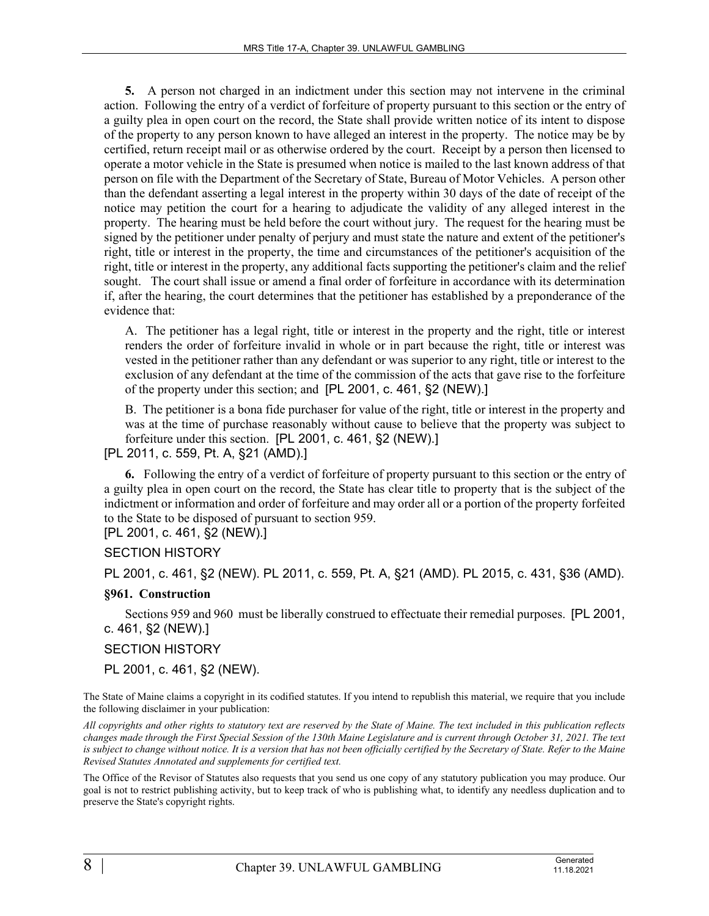**5.** A person not charged in an indictment under this section may not intervene in the criminal action. Following the entry of a verdict of forfeiture of property pursuant to this section or the entry of a guilty plea in open court on the record, the State shall provide written notice of its intent to dispose of the property to any person known to have alleged an interest in the property. The notice may be by certified, return receipt mail or as otherwise ordered by the court. Receipt by a person then licensed to operate a motor vehicle in the State is presumed when notice is mailed to the last known address of that person on file with the Department of the Secretary of State, Bureau of Motor Vehicles. A person other than the defendant asserting a legal interest in the property within 30 days of the date of receipt of the notice may petition the court for a hearing to adjudicate the validity of any alleged interest in the property. The hearing must be held before the court without jury. The request for the hearing must be signed by the petitioner under penalty of perjury and must state the nature and extent of the petitioner's right, title or interest in the property, the time and circumstances of the petitioner's acquisition of the right, title or interest in the property, any additional facts supporting the petitioner's claim and the relief sought. The court shall issue or amend a final order of forfeiture in accordance with its determination if, after the hearing, the court determines that the petitioner has established by a preponderance of the evidence that:

A. The petitioner has a legal right, title or interest in the property and the right, title or interest renders the order of forfeiture invalid in whole or in part because the right, title or interest was vested in the petitioner rather than any defendant or was superior to any right, title or interest to the exclusion of any defendant at the time of the commission of the acts that gave rise to the forfeiture of the property under this section; and [PL 2001, c. 461, §2 (NEW).]

B. The petitioner is a bona fide purchaser for value of the right, title or interest in the property and was at the time of purchase reasonably without cause to believe that the property was subject to forfeiture under this section. [PL 2001, c. 461, §2 (NEW).]

### [PL 2011, c. 559, Pt. A, §21 (AMD).]

**6.** Following the entry of a verdict of forfeiture of property pursuant to this section or the entry of a guilty plea in open court on the record, the State has clear title to property that is the subject of the indictment or information and order of forfeiture and may order all or a portion of the property forfeited to the State to be disposed of pursuant to section 959.

[PL 2001, c. 461, §2 (NEW).]

#### SECTION HISTORY

PL 2001, c. 461, §2 (NEW). PL 2011, c. 559, Pt. A, §21 (AMD). PL 2015, c. 431, §36 (AMD).

#### **§961. Construction**

Sections 959 and 960 must be liberally construed to effectuate their remedial purposes. [PL 2001, c. 461, §2 (NEW).]

### SECTION HISTORY

PL 2001, c. 461, §2 (NEW).

The State of Maine claims a copyright in its codified statutes. If you intend to republish this material, we require that you include the following disclaimer in your publication:

*All copyrights and other rights to statutory text are reserved by the State of Maine. The text included in this publication reflects changes made through the First Special Session of the 130th Maine Legislature and is current through October 31, 2021. The text*  is subject to change without notice. It is a version that has not been officially certified by the Secretary of State. Refer to the Maine *Revised Statutes Annotated and supplements for certified text.*

The Office of the Revisor of Statutes also requests that you send us one copy of any statutory publication you may produce. Our goal is not to restrict publishing activity, but to keep track of who is publishing what, to identify any needless duplication and to preserve the State's copyright rights.